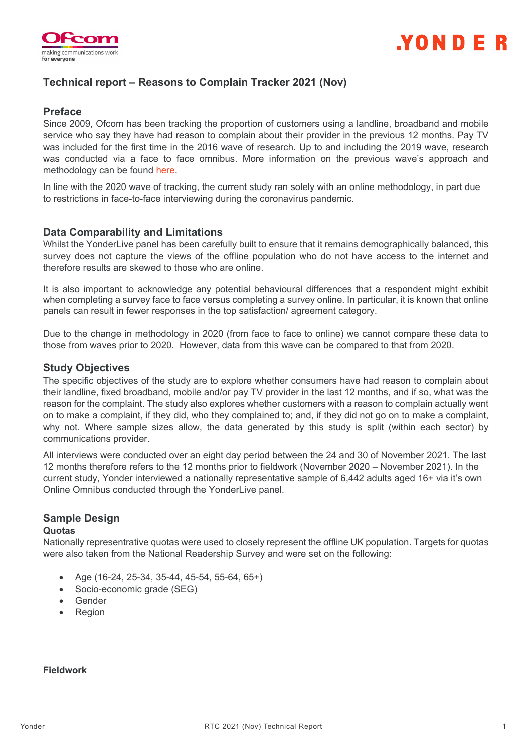

## **Technical report – Reasons to Complain Tracker 2021 (Nov)**

## **Preface**

Since 2009, Ofcom has been tracking the proportion of customers using a landline, broadband and mobile service who say they have had reason to complain about their provider in the previous 12 months. Pay TV was included for the first time in the 2016 wave of research. Up to and including the 2019 wave, research was conducted via a face to face omnibus. More information on the previous wave's approach and methodology can be found [here.](https://www.ofcom.org.uk/__data/assets/pdf_file/0012/201504/annex-2-consumer-research-2019.pdf)

In line with the 2020 wave of tracking, the current study ran solely with an online methodology, in part due to restrictions in face-to-face interviewing during the coronavirus pandemic.

## **Data Comparability and Limitations**

Whilst the YonderLive panel has been carefully built to ensure that it remains demographically balanced, this survey does not capture the views of the offline population who do not have access to the internet and therefore results are skewed to those who are online.

It is also important to acknowledge any potential behavioural differences that a respondent might exhibit when completing a survey face to face versus completing a survey online. In particular, it is known that online panels can result in fewer responses in the top satisfaction/ agreement category.

Due to the change in methodology in 2020 (from face to face to online) we cannot compare these data to those from waves prior to 2020. However, data from this wave can be compared to that from 2020.

### **Study Objectives**

The specific objectives of the study are to explore whether consumers have had reason to complain about their landline, fixed broadband, mobile and/or pay TV provider in the last 12 months, and if so, what was the reason for the complaint. The study also explores whether customers with a reason to complain actually went on to make a complaint, if they did, who they complained to; and, if they did not go on to make a complaint, why not. Where sample sizes allow, the data generated by this study is split (within each sector) by communications provider.

All interviews were conducted over an eight day period between the 24 and 30 of November 2021. The last 12 months therefore refers to the 12 months prior to fieldwork (November 2020 – November 2021). In the current study, Yonder interviewed a nationally representative sample of 6,442 adults aged 16+ via it's own Online Omnibus conducted through the YonderLive panel.

# **Sample Design**

#### **Quotas**

Nationally representrative quotas were used to closely represent the offline UK population. Targets for quotas were also taken from the National Readership Survey and were set on the following:

- Age (16-24, 25-34, 35-44, 45-54, 55-64, 65+)
- Socio-economic grade (SEG)
- **Gender**
- **Region**

**Fieldwork**